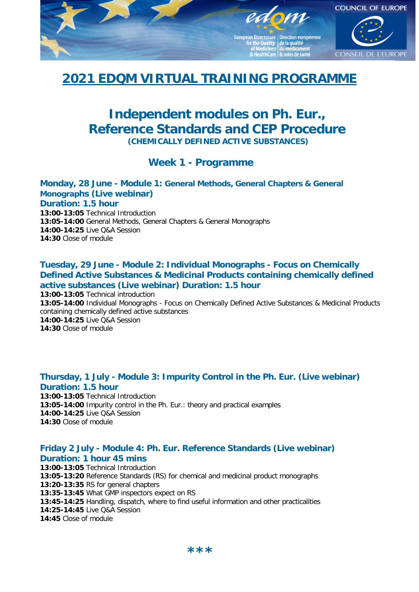

# **2021 EDQM VIRTUAL TRAINING PROGRAMME**

# **Independent modules on Ph. Eur., Reference Standards and CEP Procedure**

**(CHEMICALLY DEFINED ACTIVE SUBSTANCES)**

# **Week 1 - Programme**

#### **Monday, 28 June - Module 1: General Methods, General Chapters & General Monographs (Live webinar) Duration: 1.5 hour 13:00-13:05** Technical Introduction

**13:05-14:00** General Methods, General Chapters & General Monographs **14:00-14:25** Live Q&A Session **14:30** Close of module

# **Tuesday, 29 June - Module 2: Individual Monographs - Focus on Chemically Defined Active Substances & Medicinal Products containing chemically defined active substances (Live webinar) Duration: 1.5 hour**

**13:00-13:05** Technical introduction **13:05-14:00** Individual Monographs - Focus on Chemically Defined Active Substances & Medicinal Products containing chemically defined active substances **14:00-14:25** Live Q&A Session **14:30** Close of module

## **Thursday, 1 July - Module 3: Impurity Control in the Ph. Eur. (Live webinar) Duration: 1.5 hour**

**13:00-13:05** Technical Introduction **13:05-14:00** Impurity control in the Ph. Eur.: theory and practical examples **14:00-14:25** Live Q&A Session **14:30** Close of module

### **Friday 2 July - Module 4: Ph. Eur. Reference Standards (Live webinar) Duration: 1 hour 45 mins**

**13:00-13:05** Technical Introduction **13:05-13:20** Reference Standards (RS) for chemical and medicinal product monographs **13:20-13:35** RS for general chapters **13:35-13:45** What GMP inspectors expect on RS **13:45-14:25** Handling, dispatch, where to find useful information and other practicalities **14:25-14:45** Live Q&A Session **14:45** Close of module